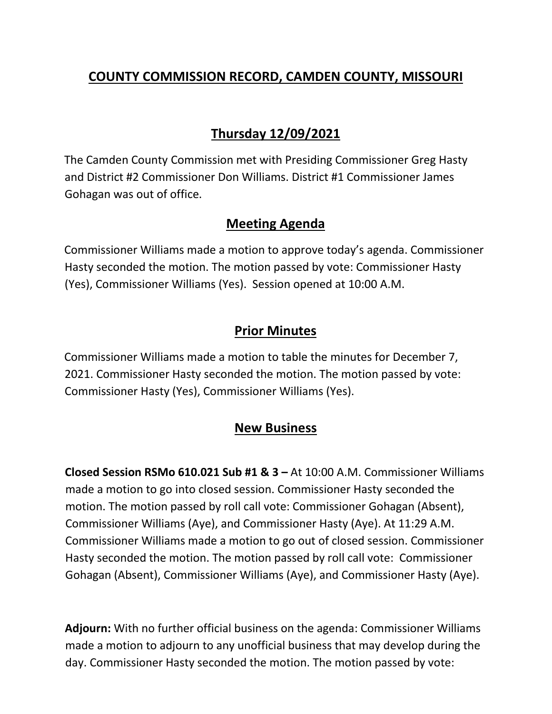## **COUNTY COMMISSION RECORD, CAMDEN COUNTY, MISSOURI**

# **Thursday 12/09/2021**

The Camden County Commission met with Presiding Commissioner Greg Hasty and District #2 Commissioner Don Williams. District #1 Commissioner James Gohagan was out of office.

#### **Meeting Agenda**

Commissioner Williams made a motion to approve today's agenda. Commissioner Hasty seconded the motion. The motion passed by vote: Commissioner Hasty (Yes), Commissioner Williams (Yes). Session opened at 10:00 A.M.

### **Prior Minutes**

Commissioner Williams made a motion to table the minutes for December 7, 2021. Commissioner Hasty seconded the motion. The motion passed by vote: Commissioner Hasty (Yes), Commissioner Williams (Yes).

#### **New Business**

**Closed Session RSMo 610.021 Sub #1 & 3 –** At 10:00 A.M. Commissioner Williams made a motion to go into closed session. Commissioner Hasty seconded the motion. The motion passed by roll call vote: Commissioner Gohagan (Absent), Commissioner Williams (Aye), and Commissioner Hasty (Aye). At 11:29 A.M. Commissioner Williams made a motion to go out of closed session. Commissioner Hasty seconded the motion. The motion passed by roll call vote: Commissioner Gohagan (Absent), Commissioner Williams (Aye), and Commissioner Hasty (Aye).

**Adjourn:** With no further official business on the agenda: Commissioner Williams made a motion to adjourn to any unofficial business that may develop during the day. Commissioner Hasty seconded the motion. The motion passed by vote: